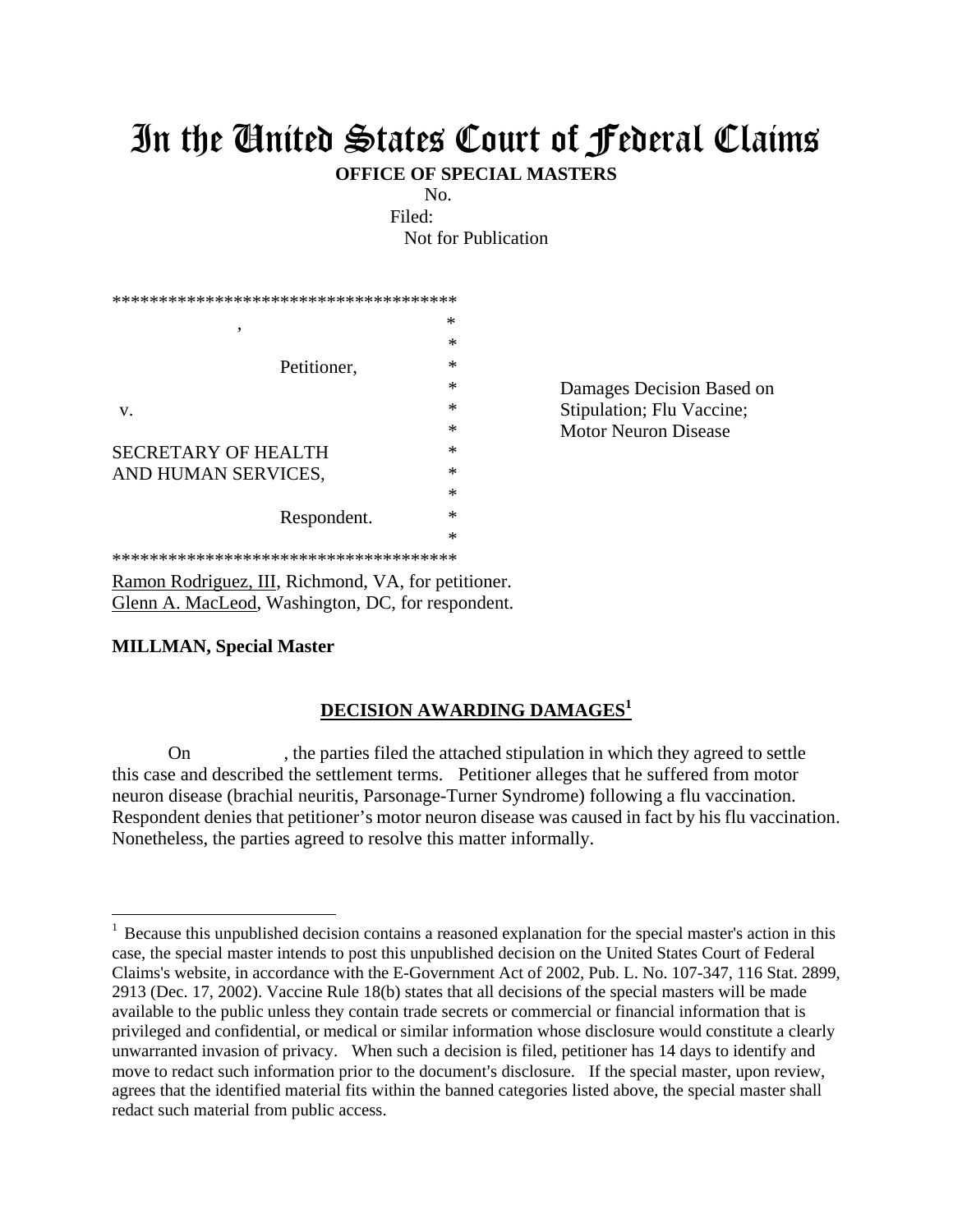## In the United States Court of Federal Claims

**OFFICE OF SPECIAL MASTERS**

No.

Filed:

Not for Publication

| ************************************** |        |                             |
|----------------------------------------|--------|-----------------------------|
| ۰<br>Petitioner,                       | ∗      |                             |
|                                        | ∗      |                             |
|                                        | ∗      |                             |
|                                        | ∗      | Damages Decision Based on   |
| V.                                     | ∗      | Stipulation; Flu Vaccine;   |
|                                        | ∗      | <b>Motor Neuron Disease</b> |
| SECRETARY OF HEALTH                    | ∗      |                             |
| AND HUMAN SERVICES,                    | ∗      |                             |
|                                        | ∗      |                             |
| Respondent.                            | $\ast$ |                             |
|                                        | $\ast$ |                             |
| ************************************** |        |                             |

Ramon Rodriguez, III, Richmond, VA, for petitioner. Glenn A. MacLeod, Washington, DC, for respondent.

## **MILLMAN, Special Master**

 $\overline{a}$ 

## **DECISION AWARDING DAMAGES<sup>1</sup>**

 On , the parties filed the attached stipulation in which they agreed to settle this case and described the settlement terms. Petitioner alleges that he suffered from motor neuron disease (brachial neuritis, Parsonage-Turner Syndrome) following a flu vaccination. Respondent denies that petitioner's motor neuron disease was caused in fact by his flu vaccination. Nonetheless, the parties agreed to resolve this matter informally.

<sup>&</sup>lt;sup>1</sup> Because this unpublished decision contains a reasoned explanation for the special master's action in this case, the special master intends to post this unpublished decision on the United States Court of Federal Claims's website, in accordance with the E-Government Act of 2002, Pub. L. No. 107-347, 116 Stat. 2899, 2913 (Dec. 17, 2002). Vaccine Rule 18(b) states that all decisions of the special masters will be made available to the public unless they contain trade secrets or commercial or financial information that is privileged and confidential, or medical or similar information whose disclosure would constitute a clearly unwarranted invasion of privacy. When such a decision is filed, petitioner has 14 days to identify and move to redact such information prior to the document's disclosure. If the special master, upon review, agrees that the identified material fits within the banned categories listed above, the special master shall redact such material from public access.